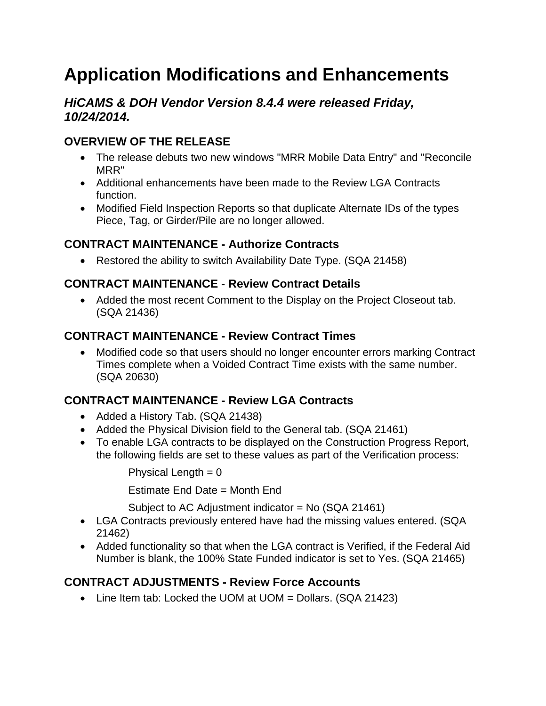# **Application Modifications and Enhancements**

## *HiCAMS & DOH Vendor Version 8.4.4 were released Friday, 10/24/2014.*

# **OVERVIEW OF THE RELEASE**

- The release debuts two new windows "MRR Mobile Data Entry" and "Reconcile MRR"
- Additional enhancements have been made to the Review LGA Contracts function.
- Modified Field Inspection Reports so that duplicate Alternate IDs of the types Piece, Tag, or Girder/Pile are no longer allowed.

## **CONTRACT MAINTENANCE - Authorize Contracts**

• Restored the ability to switch Availability Date Type. (SQA 21458)

#### **CONTRACT MAINTENANCE - Review Contract Details**

• Added the most recent Comment to the Display on the Project Closeout tab. (SQA 21436)

#### **CONTRACT MAINTENANCE - Review Contract Times**

• Modified code so that users should no longer encounter errors marking Contract Times complete when a Voided Contract Time exists with the same number. (SQA 20630)

## **CONTRACT MAINTENANCE - Review LGA Contracts**

- Added a History Tab. (SQA 21438)
- Added the Physical Division field to the General tab. (SQA 21461)
- To enable LGA contracts to be displayed on the Construction Progress Report, the following fields are set to these values as part of the Verification process:

Physical Length  $= 0$ 

Estimate End Date = Month End

Subject to AC Adjustment indicator = No (SQA 21461)

- LGA Contracts previously entered have had the missing values entered. (SQA 21462)
- Added functionality so that when the LGA contract is Verified, if the Federal Aid Number is blank, the 100% State Funded indicator is set to Yes. (SQA 21465)

## **CONTRACT ADJUSTMENTS - Review Force Accounts**

• Line Item tab: Locked the UOM at UOM = Dollars. (SQA 21423)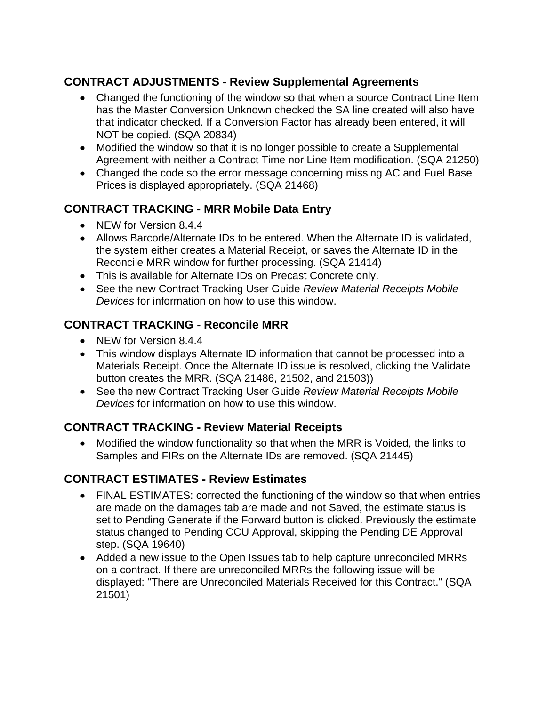## **CONTRACT ADJUSTMENTS - Review Supplemental Agreements**

- Changed the functioning of the window so that when a source Contract Line Item has the Master Conversion Unknown checked the SA line created will also have that indicator checked. If a Conversion Factor has already been entered, it will NOT be copied. (SQA 20834)
- Modified the window so that it is no longer possible to create a Supplemental Agreement with neither a Contract Time nor Line Item modification. (SQA 21250)
- Changed the code so the error message concerning missing AC and Fuel Base Prices is displayed appropriately. (SQA 21468)

## **CONTRACT TRACKING - MRR Mobile Data Entry**

- NEW for Version 8.4.4
- Allows Barcode/Alternate IDs to be entered. When the Alternate ID is validated, the system either creates a Material Receipt, or saves the Alternate ID in the Reconcile MRR window for further processing. (SQA 21414)
- This is available for Alternate IDs on Precast Concrete only.
- See the new Contract Tracking User Guide *Review Material Receipts Mobile Devices* for information on how to use this window.

# **CONTRACT TRACKING - Reconcile MRR**

- NEW for Version 8.4.4
- This window displays Alternate ID information that cannot be processed into a Materials Receipt. Once the Alternate ID issue is resolved, clicking the Validate button creates the MRR. (SQA 21486, 21502, and 21503))
- See the new Contract Tracking User Guide *Review Material Receipts Mobile Devices* for information on how to use this window.

## **CONTRACT TRACKING - Review Material Receipts**

• Modified the window functionality so that when the MRR is Voided, the links to Samples and FIRs on the Alternate IDs are removed. (SQA 21445)

#### **CONTRACT ESTIMATES - Review Estimates**

- FINAL ESTIMATES: corrected the functioning of the window so that when entries are made on the damages tab are made and not Saved, the estimate status is set to Pending Generate if the Forward button is clicked. Previously the estimate status changed to Pending CCU Approval, skipping the Pending DE Approval step. (SQA 19640)
- Added a new issue to the Open Issues tab to help capture unreconciled MRRs on a contract. If there are unreconciled MRRs the following issue will be displayed: "There are Unreconciled Materials Received for this Contract." (SQA 21501)